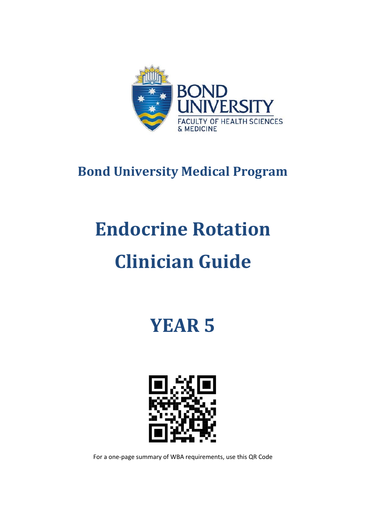

# **Bond University Medical Program**

# **Endocrine Rotation Clinician Guide**

**YEAR 5**



For a one-page summary of WBA requirements, use this QR Code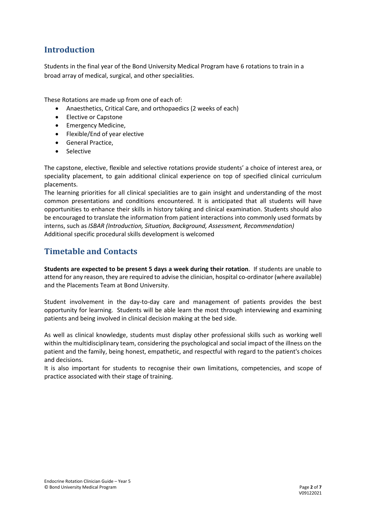#### **Introduction**

Students in the final year of the Bond University Medical Program have 6 rotations to train in a broad array of medical, surgical, and other specialities.

These Rotations are made up from one of each of:

- Anaesthetics, Critical Care, and orthopaedics (2 weeks of each)
- Elective or Capstone
- Emergency Medicine,
- Flexible/End of year elective
- General Practice,
- Selective

The capstone, elective, flexible and selective rotations provide students' a choice of interest area, or speciality placement, to gain additional clinical experience on top of specified clinical curriculum placements.

The learning priorities for all clinical specialities are to gain insight and understanding of the most common presentations and conditions encountered. It is anticipated that all students will have opportunities to enhance their skills in history taking and clinical examination. Students should also be encouraged to translate the information from patient interactions into commonly used formats by interns, such as *ISBAR (Introduction, Situation, Background, Assessment, Recommendation)* Additional specific procedural skills development is welcomed

#### **Timetable and Contacts**

**Students are expected to be present 5 days a week during their rotation**. If students are unable to attend for any reason, they are required to advise the clinician, hospital co-ordinator (where available) and the Placements Team at Bond University.

Student involvement in the day-to-day care and management of patients provides the best opportunity for learning. Students will be able learn the most through interviewing and examining patients and being involved in clinical decision making at the bed side.

As well as clinical knowledge, students must display other professional skills such as working well within the multidisciplinary team, considering the psychological and social impact of the illness on the patient and the family, being honest, empathetic, and respectful with regard to the patient's choices and decisions.

It is also important for students to recognise their own limitations, competencies, and scope of practice associated with their stage of training.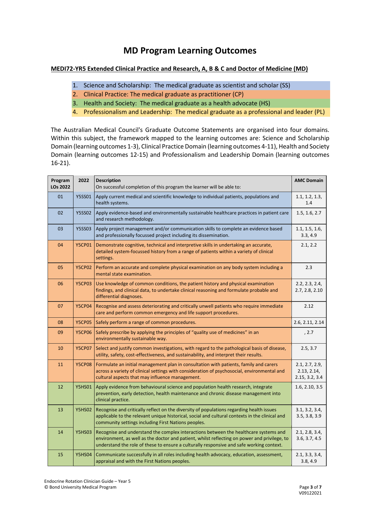### **MD Program Learning Outcomes**

#### **MEDI72-YR5 Extended Clinical Practice and Research, A, B & C and Doctor of Medicine (MD)**

- 1. Science and Scholarship: The medical graduate as scientist and scholar (SS)
- 2. Clinical Practice: The medical graduate as practitioner (CP)
- 3. Health and Society: The medical graduate as a health advocate (HS)
- 4. Professionalism and Leadership: The medical graduate as a professional and leader (PL)

The Australian Medical Council's Graduate Outcome Statements are organised into four domains. Within this subject, the framework mapped to the learning outcomes are: Science and Scholarship Domain (learning outcomes 1-3), Clinical Practice Domain (learning outcomes 4-11), Health and Society Domain (learning outcomes 12-15) and Professionalism and Leadership Domain (learning outcomes 16-21).

| Program<br>LOs 2022 | 2022          | <b>Description</b><br>On successful completion of this program the learner will be able to:                                                                                                                                                                                      | <b>AMC Domain</b>                               |
|---------------------|---------------|----------------------------------------------------------------------------------------------------------------------------------------------------------------------------------------------------------------------------------------------------------------------------------|-------------------------------------------------|
| 01                  | <b>Y5SS01</b> | Apply current medical and scientific knowledge to individual patients, populations and<br>health systems.                                                                                                                                                                        | 1.1, 1.2, 1.3,<br>1.4                           |
| 02                  | <b>Y5SS02</b> | Apply evidence-based and environmentally sustainable healthcare practices in patient care<br>and research methodology.                                                                                                                                                           | 1.5, 1.6, 2.7                                   |
| 03                  | <b>Y5SS03</b> | Apply project management and/or communication skills to complete an evidence based<br>and professionally focussed project including its dissemination.                                                                                                                           | 1.1, 1.5, 1.6,<br>3.3, 4.9                      |
| 04                  | <b>Y5CP01</b> | Demonstrate cognitive, technical and interpretive skills in undertaking an accurate,<br>detailed system-focussed history from a range of patients within a variety of clinical<br>settings.                                                                                      | 2.1, 2.2                                        |
| 05                  | <b>Y5CP02</b> | Perform an accurate and complete physical examination on any body system including a<br>mental state examination.                                                                                                                                                                | 2.3                                             |
| 06                  | <b>Y5CP03</b> | Use knowledge of common conditions, the patient history and physical examination<br>findings, and clinical data, to undertake clinical reasoning and formulate probable and<br>differential diagnoses.                                                                           | 2.2, 2.3, 2.4,<br>2.7, 2.8, 2.10                |
| 07                  | <b>Y5CP04</b> | Recognise and assess deteriorating and critically unwell patients who require immediate<br>care and perform common emergency and life support procedures.                                                                                                                        | 2.12                                            |
| 08                  | <b>Y5CP05</b> | Safely perform a range of common procedures.                                                                                                                                                                                                                                     | 2.6, 2.11, 2.14                                 |
| 09                  | <b>Y5CP06</b> | Safely prescribe by applying the principles of "quality use of medicines" in an<br>environmentally sustainable way.                                                                                                                                                              | , 2.7                                           |
| 10                  | <b>Y5CP07</b> | Select and justify common investigations, with regard to the pathological basis of disease,<br>utility, safety, cost-effectiveness, and sustainability, and interpret their results.                                                                                             | 2.5, 3.7                                        |
| 11                  | <b>Y5CP08</b> | Formulate an initial management plan in consultation with patients, family and carers<br>across a variety of clinical settings with consideration of psychosocial, environmental and<br>cultural aspects that may influence management.                                          | 2.1, 2.7, 2.9,<br>2.13, 2.14,<br>2.15, 3.2, 3.4 |
| 12                  | <b>Y5HS01</b> | Apply evidence from behavioural science and population health research, integrate<br>prevention, early detection, health maintenance and chronic disease management into<br>clinical practice.                                                                                   | 1.6, 2.10, 3.5                                  |
| 13                  | <b>Y5HS02</b> | Recognise and critically reflect on the diversity of populations regarding health issues<br>applicable to the relevant unique historical, social and cultural contexts in the clinical and<br>community settings including First Nations peoples.                                | 3.1, 3.2, 3.4,<br>3.5, 3.8, 3.9                 |
| 14                  | <b>Y5HS03</b> | Recognise and understand the complex interactions between the healthcare systems and<br>environment, as well as the doctor and patient, whilst reflecting on power and privilege, to<br>understand the role of these to ensure a culturally responsive and safe working context. | 2.1, 2.8, 3.4,<br>3.6, 3.7, 4.5                 |
| 15                  | <b>Y5HS04</b> | Communicate successfully in all roles including health advocacy, education, assessment,<br>appraisal and with the First Nations peoples.                                                                                                                                         | 2.1, 3.3, 3.4,<br>3.8, 4.9                      |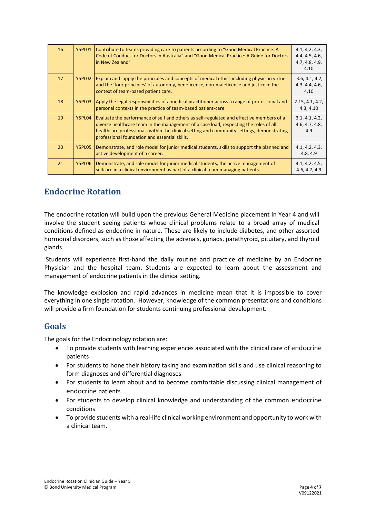| 16 | Y5PL01 | Contribute to teams providing care to patients according to "Good Medical Practice: A<br>Code of Conduct for Doctors in Australia" and "Good Medical Practice: A Guide for Doctors<br>in New Zealand"                                                                                                                            | 4.1, 4.2, 4.3,<br>4.4, 4.5, 4.6,<br>4.7, 4.8, 4.9,<br>4.10 |
|----|--------|----------------------------------------------------------------------------------------------------------------------------------------------------------------------------------------------------------------------------------------------------------------------------------------------------------------------------------|------------------------------------------------------------|
| 17 | Y5PL02 | Explain and apply the principles and concepts of medical ethics including physician virtue<br>and the 'four principles' of autonomy, beneficence, non-maleficence and justice in the<br>context of team-based patient care.                                                                                                      | 3.6, 4.1, 4.2,<br>4.3, 4.4, 4.6,<br>4.10                   |
| 18 | Y5PL03 | Apply the legal responsibilities of a medical practitioner across a range of professional and<br>personal contexts in the practice of team-based patient-care.                                                                                                                                                                   | 2.15, 4.1, 4.2,<br>4.3, 4.10                               |
| 19 | Y5PL04 | Evaluate the performance of self and others as self-regulated and effective members of a<br>diverse healthcare team in the management of a case load, respecting the roles of all<br>healthcare professionals within the clinical setting and community settings, demonstrating<br>professional foundation and essential skills. | 3.1, 4.1, 4.2,<br>4.6, 4.7, 4.8,<br>4.9                    |
| 20 | Y5PL05 | Demonstrate, and role model for junior medical students, skills to support the planned and<br>active development of a career.                                                                                                                                                                                                    | 4.1, 4.2, 4.3,<br>4.8, 4.9                                 |
| 21 | Y5PL06 | Demonstrate, and role model for junior medical students, the active management of<br>selfcare in a clinical environment as part of a clinical team managing patients.                                                                                                                                                            | 4.1, 4.2, 4.5,<br>4.6, 4.7, 4.9                            |

#### **Endocrine Rotation**

The endocrine rotation will build upon the previous General Medicine placement in Year 4 and will involve the student seeing patients whose clinical problems relate to a broad array of medical conditions defined as endocrine in nature. These are likely to include diabetes, and other assorted hormonal disorders, such as those affecting the adrenals, gonads, parathyroid, pituitary, and thyroid glands.

Students will experience first-hand the daily routine and practice of medicine by an Endocrine Physician and the hospital team. Students are expected to learn about the assessment and management of endocrine patients in the clinical setting.

The knowledge explosion and rapid advances in medicine mean that it is impossible to cover everything in one single rotation. However, knowledge of the common presentations and conditions will provide a firm foundation for students continuing professional development.

#### **Goals**

The goals for the Endocrinology rotation are:

- To provide students with learning experiences associated with the clinical care of endocrine patients
- For students to hone their history taking and examination skills and use clinical reasoning to form diagnoses and differential diagnoses
- For students to learn about and to become comfortable discussing clinical management of endocrine patients
- For students to develop clinical knowledge and understanding of the common endocrine conditions
- To provide students with a real-life clinical working environment and opportunity to work with a clinical team.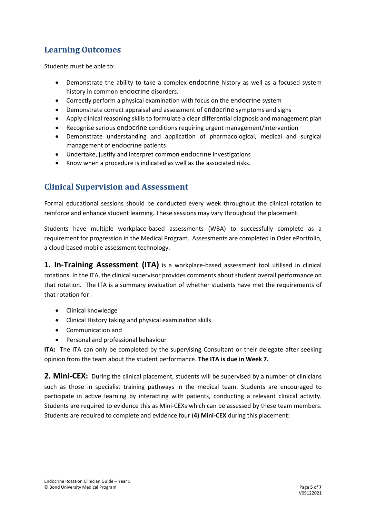## **Learning Outcomes**

Students must be able to:

- Demonstrate the ability to take a complex endocrine history as well as a focused system history in common endocrine disorders.
- Correctly perform a physical examination with focus on the endocrine system
- Demonstrate correct appraisal and assessment of endocrine symptoms and signs
- Apply clinical reasoning skills to formulate a clear differential diagnosis and management plan
- Recognise serious endocrine conditions requiring urgent management/intervention
- Demonstrate understanding and application of pharmacological, medical and surgical management of endocrine patients
- Undertake, justify and interpret common endocrine investigations
- Know when a procedure is indicated as well as the associated risks.

#### **Clinical Supervision and Assessment**

Formal educational sessions should be conducted every week throughout the clinical rotation to reinforce and enhance student learning. These sessions may vary throughout the placement.

Students have multiple workplace-based assessments (WBA) to successfully complete as a requirement for progression in the Medical Program. Assessments are completed in Osler ePortfolio, a cloud-based mobile assessment technology.

**1. In-Training Assessment (ITA)** is a workplace-based assessment tool utilised in clinical rotations. In the ITA, the clinical supervisor provides comments about student overall performance on that rotation. The ITA is a summary evaluation of whether students have met the requirements of that rotation for:

- Clinical knowledge
- Clinical History taking and physical examination skills
- Communication and
- Personal and professional behaviour

**ITA:** The ITA can only be completed by the supervising Consultant or their delegate after seeking opinion from the team about the student performance. **The ITA is due in Week 7.**

**2. Mini-CEX:** During the clinical placement, students will be supervised by a number of clinicians such as those in specialist training pathways in the medical team. Students are encouraged to participate in active learning by interacting with patients, conducting a relevant clinical activity. Students are required to evidence this as Mini-CEXs which can be assessed by these team members. Students are required to complete and evidence four (**4) Mini-CEX** during this placement: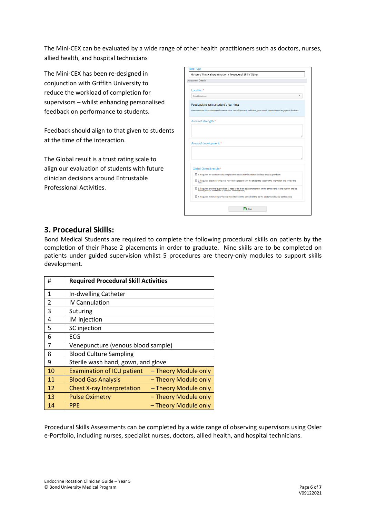The Mini-CEX can be evaluated by a wide range of other health practitioners such as doctors, nurses, allied health, and hospital technicians

The Mini-CEX has been re-designed in conjunction with Griffith University to reduce the workload of completion for supervisors – whilst enhancing personalised feedback on performance to students.

Feedback should align to that given to students at the time of the interaction.

The Global result is a trust rating scale to align our evaluation of students with future clinician decisions around Entrustable Professional Activities.

| Assessment Criteria                    |                                                                                                                                                                         |
|----------------------------------------|-------------------------------------------------------------------------------------------------------------------------------------------------------------------------|
| Location*                              |                                                                                                                                                                         |
| Select Location                        |                                                                                                                                                                         |
| Feedback to assist student's learning: |                                                                                                                                                                         |
|                                        | Please describe the Student's Performance: what was effective and ineffective, your overall impression and any specific feedback.                                       |
| Areas of strength:*                    |                                                                                                                                                                         |
|                                        |                                                                                                                                                                         |
|                                        |                                                                                                                                                                         |
|                                        |                                                                                                                                                                         |
|                                        |                                                                                                                                                                         |
| Areas of development:*                 |                                                                                                                                                                         |
|                                        |                                                                                                                                                                         |
|                                        |                                                                                                                                                                         |
| Global Overall result:*                |                                                                                                                                                                         |
|                                        | O 1. Requires my assistance to complete this task safely in addition to close direct supervision                                                                        |
| task)                                  | O 2. Requires direct supervision (I need to be present with the student to observe the interaction and review the                                                       |
|                                        | O 3. Requires proximal supervision (I need to be in an adjacent room or on the same ward as the student and be<br>able to provide immediate or detailed review of task) |
|                                        |                                                                                                                                                                         |

#### **3. Procedural Skills:**

Bond Medical Students are required to complete the following procedural skills on patients by the completion of their Phase 2 placements in order to graduate. Nine skills are to be completed on patients under guided supervision whilst 5 procedures are theory-only modules to support skills development.

| #              | <b>Required Procedural Skill Activities</b> |                      |  |
|----------------|---------------------------------------------|----------------------|--|
| $\mathbf{1}$   | In-dwelling Catheter                        |                      |  |
| $\overline{2}$ | <b>IV Cannulation</b>                       |                      |  |
| 3              | <b>Suturing</b>                             |                      |  |
| 4              | IM injection                                |                      |  |
| 5              | SC injection                                |                      |  |
| 6              | ECG                                         |                      |  |
| 7              | Venepuncture (venous blood sample)          |                      |  |
| 8              | <b>Blood Culture Sampling</b>               |                      |  |
| 9              | Sterile wash hand, gown, and glove          |                      |  |
| 10             | <b>Examination of ICU patient</b>           | - Theory Module only |  |
| 11             | <b>Blood Gas Analysis</b>                   | - Theory Module only |  |
| 12             | <b>Chest X-ray Interpretation</b>           | - Theory Module only |  |
| 13             | <b>Pulse Oximetry</b>                       | - Theory Module only |  |
| 14             | <b>PPE</b>                                  | - Theory Module only |  |

Procedural Skills Assessments can be completed by a wide range of observing supervisors using Osler e-Portfolio, including nurses, specialist nurses, doctors, allied health, and hospital technicians.